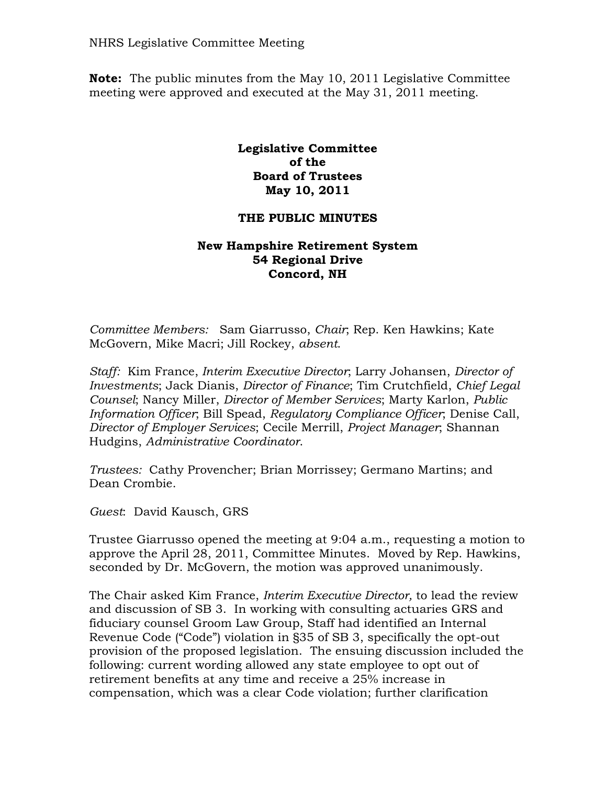NHRS Legislative Committee Meeting

**Note:** The public minutes from the May 10, 2011 Legislative Committee meeting were approved and executed at the May 31, 2011 meeting.

## **Legislative Committee of the Board of Trustees May 10, 2011**

## **THE PUBLIC MINUTES**

## **New Hampshire Retirement System 54 Regional Drive Concord, NH**

*Committee Members:* Sam Giarrusso, *Chair*; Rep. Ken Hawkins; Kate McGovern, Mike Macri; Jill Rockey, *absent*.

*Staff:* Kim France, *Interim Executive Director*; Larry Johansen, *Director of Investments*; Jack Dianis, *Director of Finance*; Tim Crutchfield, *Chief Legal Counsel*; Nancy Miller, *Director of Member Services*; Marty Karlon, *Public Information Officer*; Bill Spead, *Regulatory Compliance Officer*; Denise Call, *Director of Employer Services*; Cecile Merrill, *Project Manager*; Shannan Hudgins, *Administrative Coordinator*.

*Trustees:* Cathy Provencher; Brian Morrissey; Germano Martins; and Dean Crombie.

*Guest*: David Kausch, GRS

Trustee Giarrusso opened the meeting at 9:04 a.m., requesting a motion to approve the April 28, 2011, Committee Minutes. Moved by Rep. Hawkins, seconded by Dr. McGovern, the motion was approved unanimously.

The Chair asked Kim France, *Interim Executive Director,* to lead the review and discussion of SB 3. In working with consulting actuaries GRS and fiduciary counsel Groom Law Group, Staff had identified an Internal Revenue Code ("Code") violation in §35 of SB 3, specifically the opt-out provision of the proposed legislation. The ensuing discussion included the following: current wording allowed any state employee to opt out of retirement benefits at any time and receive a 25% increase in compensation, which was a clear Code violation; further clarification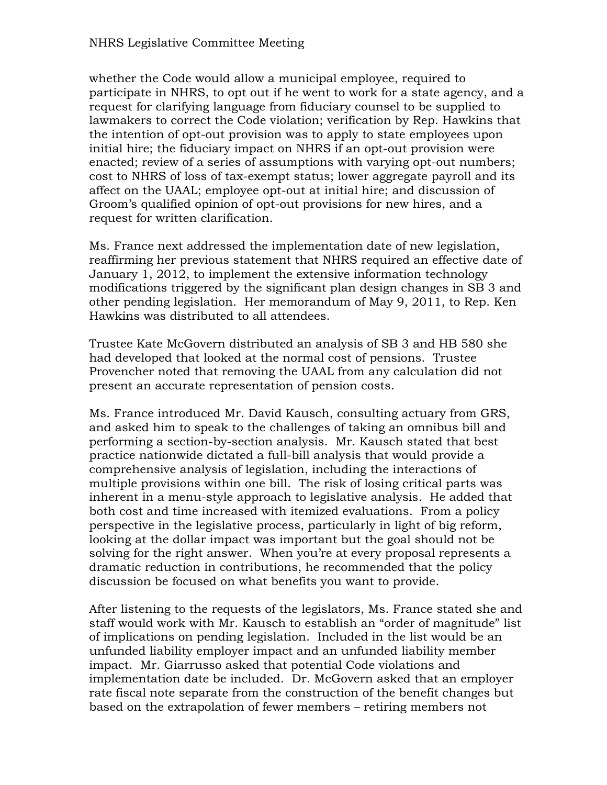## NHRS Legislative Committee Meeting

whether the Code would allow a municipal employee, required to participate in NHRS, to opt out if he went to work for a state agency, and a request for clarifying language from fiduciary counsel to be supplied to lawmakers to correct the Code violation; verification by Rep. Hawkins that the intention of opt-out provision was to apply to state employees upon initial hire; the fiduciary impact on NHRS if an opt-out provision were enacted; review of a series of assumptions with varying opt-out numbers; cost to NHRS of loss of tax-exempt status; lower aggregate payroll and its affect on the UAAL; employee opt-out at initial hire; and discussion of Groom's qualified opinion of opt-out provisions for new hires, and a request for written clarification.

Ms. France next addressed the implementation date of new legislation, reaffirming her previous statement that NHRS required an effective date of January 1, 2012, to implement the extensive information technology modifications triggered by the significant plan design changes in SB 3 and other pending legislation. Her memorandum of May 9, 2011, to Rep. Ken Hawkins was distributed to all attendees.

Trustee Kate McGovern distributed an analysis of SB 3 and HB 580 she had developed that looked at the normal cost of pensions. Trustee Provencher noted that removing the UAAL from any calculation did not present an accurate representation of pension costs.

Ms. France introduced Mr. David Kausch, consulting actuary from GRS, and asked him to speak to the challenges of taking an omnibus bill and performing a section-by-section analysis. Mr. Kausch stated that best practice nationwide dictated a full-bill analysis that would provide a comprehensive analysis of legislation, including the interactions of multiple provisions within one bill. The risk of losing critical parts was inherent in a menu-style approach to legislative analysis. He added that both cost and time increased with itemized evaluations. From a policy perspective in the legislative process, particularly in light of big reform, looking at the dollar impact was important but the goal should not be solving for the right answer. When you're at every proposal represents a dramatic reduction in contributions, he recommended that the policy discussion be focused on what benefits you want to provide.

After listening to the requests of the legislators, Ms. France stated she and staff would work with Mr. Kausch to establish an "order of magnitude" list of implications on pending legislation. Included in the list would be an unfunded liability employer impact and an unfunded liability member impact. Mr. Giarrusso asked that potential Code violations and implementation date be included. Dr. McGovern asked that an employer rate fiscal note separate from the construction of the benefit changes but based on the extrapolation of fewer members – retiring members not